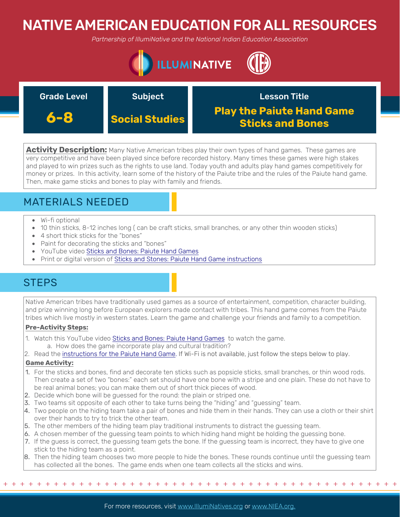# NATIVE AMERICAN EDUCATION FOR ALL RESOURCES

*Partnership of IllumiNative and the National Indian Education Association*



| <b>Grade Level</b> | <b>Subject</b>        | <b>Lesson Title</b>                                         |
|--------------------|-----------------------|-------------------------------------------------------------|
| 6-8                | <b>Social Studies</b> | <b>Play the Paiute Hand Game</b><br><b>Sticks and Bones</b> |

**Activity Description:** Many Native American tribes play their own types of hand games. These games are very competitive and have been played since before recorded history. Many times these games were high stakes and played to win prizes such as the rights to use land. Today youth and adults play hand games competitively for money or prizes. In this activity, learn some of the history of the Paiute tribe and the rules of the Paiute hand game. Then, make game sticks and bones to play with family and friends.

## MATERIALS NEEDED

- Wi-fi optional
- 10 thin sticks, 8-12 inches long ( can be craft sticks, small branches, or any other thin wooden sticks)
- 4 short thick sticks for the "bones"
- Paint for decorating the sticks and "bones"
- YouTube video [Sticks and Bones: Paiute Hand Games](https://www.youtube.com/watch?time_continue=4&v=DwDO59RLyh8&feature=emb_logo)
- Print or digital version of [Sticks and Stones: Paiute Hand Game instructions](http://www.nevada150.org/sticks-and-stones-paiute-hand-games/)

## **STEPS**

Native American tribes have traditionally used games as a source of entertainment, competition, character building, and prize winning long before European explorers made contact with tribes. This hand game comes from the Paiute tribes which live mostly in western states. Learn the game and challenge your friends and family to a competition.

### **Pre-Activity Steps:**

- 1. Watch this YouTube video [Sticks and Bones: Paiute Hand Games](https://www.youtube.com/watch?time_continue=4&v=DwDO59RLyh8&feature=emb_logo) to watch the game. a. How does the game incorporate play and cultural tradition?
- 2. Read the [instructions for the Paiute Hand Game. If Wi-Fi is not available, just follow the steps below to play.](http://www.nevada150.org/sticks-and-stones-paiute-hand-games/)

### **Game Activity:**

 $+ +$ 

- 1. For the sticks and bones, find and decorate ten sticks such as popsicle sticks, small branches, or thin wood rods. Then create a set of two "bones:" each set should have one bone with a stripe and one plain. These do not have to be real animal bones; you can make them out of short thick pieces of wood.
- 2. Decide which bone will be guessed for the round: the plain or striped one.
- 3. Two teams sit opposite of each other to take turns being the "hiding" and "guessing" team.
- 4. Two people on the hiding team take a pair of bones and hide them in their hands. They can use a cloth or their shirt over their hands to try to trick the other team.
- 5. The other members of the hiding team play traditional instruments to distract the guessing team.
- 6. A chosen member of the guessing team points to which hiding hand might be holding the guessing bone.
- 7. If the guess is correct, the guessing team gets the bone. If the guessing team is incorrect, they have to give one stick to the hiding team as a point.
- 8. Then the hiding team chooses two more people to hide the bones. These rounds continue until the guessing team has collected all the bones. The game ends when one team collects all the sticks and wins.

+ + + + + + + + + + + + + + + + + + + + + + + + + + + + + + + + + + + + + + + + + + + + +